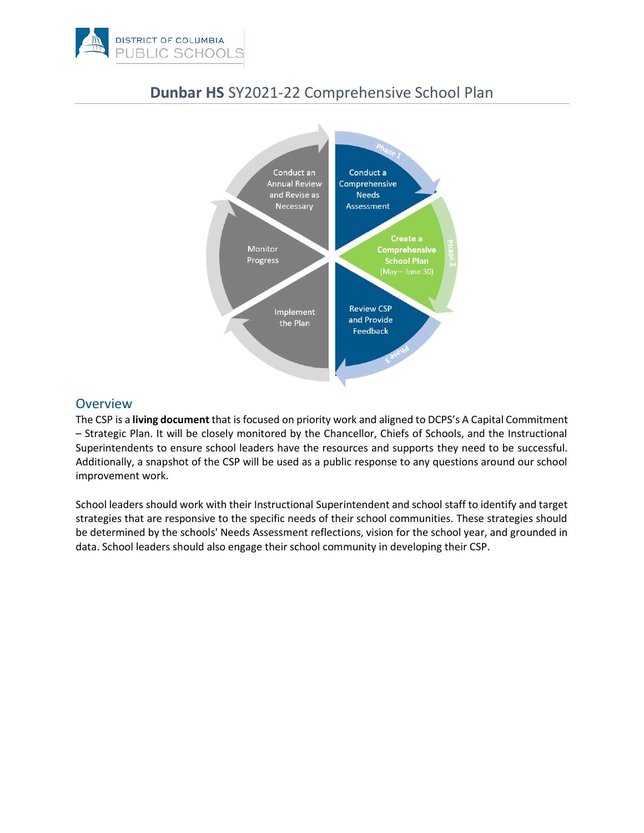



# **Dunbar HS** SY2021-22 Comprehensive School Plan

## **Overview**

The CSP is a **living document** that is focused on priority work and aligned to DCPS's A Capital Commitment – Strategic Plan. It will be closely monitored by the Chancellor, Chiefs of Schools, and the Instructional Superintendents to ensure school leaders have the resources and supports they need to be successful. Additionally, a snapshot of the CSP will be used as a public response to any questions around our school improvement work.

School leaders should work with their Instructional Superintendent and school staff to identify and target strategies that are responsive to the specific needs of their school communities. These strategies should be determined by the schools' Needs Assessment reflections, vision for the school year, and grounded in data. School leaders should also engage their school community in developing their CSP.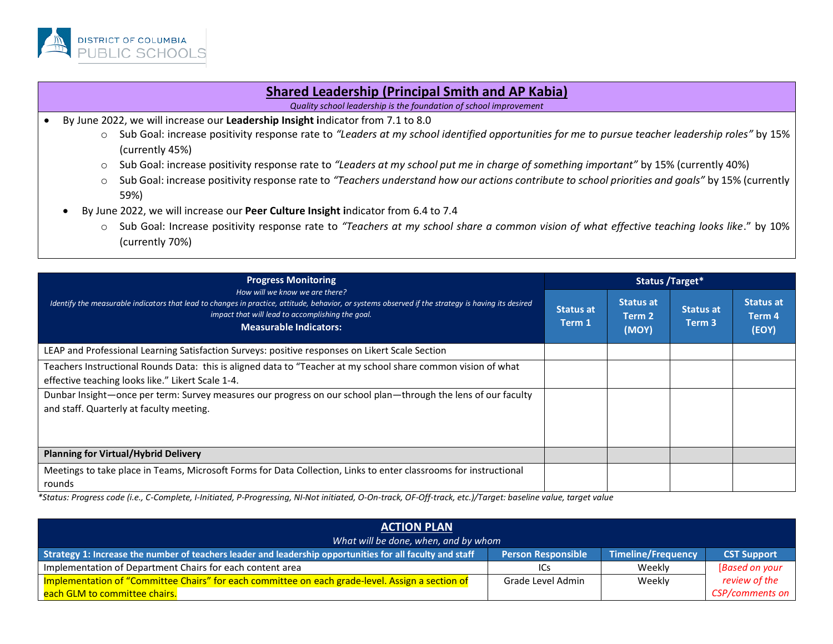

#### **Shared Leadership (Principal Smith and AP Kabia)**

*Quality school leadership is the foundation of school improvement*

- By June 2022, we will increase our **Leadership Insight i**ndicator from 7.1 to 8.0
	- o Sub Goal: increase positivity response rate to *"Leaders at my school identified opportunities for me to pursue teacher leadership roles"* by 15% (currently 45%)
	- o Sub Goal: increase positivity response rate to *"Leaders at my school put me in charge of something important"* by 15% (currently 40%)
	- o Sub Goal: increase positivity response rate to *"Teachers understand how our actions contribute to school priorities and goals"* by 15% (currently 59%)
	- By June 2022, we will increase our **Peer Culture Insight i**ndicator from 6.4 to 7.4
		- o Sub Goal: Increase positivity response rate to *"Teachers at my school share a common vision of what effective teaching looks like*." by 10% (currently 70%)

| <b>Progress Monitoring</b><br>How will we know we are there?<br>Identify the measurable indicators that lead to changes in practice, attitude, behavior, or systems observed if the strategy is having its desired<br>impact that will lead to accomplishing the goal.<br><b>Measurable Indicators:</b>                         | Status /Target*            |                                     |                            |                                     |
|---------------------------------------------------------------------------------------------------------------------------------------------------------------------------------------------------------------------------------------------------------------------------------------------------------------------------------|----------------------------|-------------------------------------|----------------------------|-------------------------------------|
|                                                                                                                                                                                                                                                                                                                                 | <b>Status at</b><br>Term 1 | <b>Status at</b><br>Term 2<br>(MOY) | <b>Status at</b><br>Term 3 | <b>Status at</b><br>Term 4<br>(EOY) |
| LEAP and Professional Learning Satisfaction Surveys: positive responses on Likert Scale Section                                                                                                                                                                                                                                 |                            |                                     |                            |                                     |
| Teachers Instructional Rounds Data: this is aligned data to "Teacher at my school share common vision of what<br>effective teaching looks like." Likert Scale 1-4.<br>Dunbar Insight-once per term: Survey measures our progress on our school plan-through the lens of our faculty<br>and staff. Quarterly at faculty meeting. |                            |                                     |                            |                                     |
| <b>Planning for Virtual/Hybrid Delivery</b>                                                                                                                                                                                                                                                                                     |                            |                                     |                            |                                     |
| Meetings to take place in Teams, Microsoft Forms for Data Collection, Links to enter classrooms for instructional<br>rounds                                                                                                                                                                                                     |                            |                                     |                            |                                     |

| <b>ACTION PLAN</b>                                                                                        |                           |                           |                    |  |
|-----------------------------------------------------------------------------------------------------------|---------------------------|---------------------------|--------------------|--|
| What will be done, when, and by whom                                                                      |                           |                           |                    |  |
| Strategy 1: Increase the number of teachers leader and leadership opportunities for all faculty and staff | <b>Person Responsible</b> | <b>Timeline/Frequency</b> | <b>CST Support</b> |  |
| Implementation of Department Chairs for each content area                                                 | ICs                       | Weekly                    | [Based on your     |  |
| Implementation of "Committee Chairs" for each committee on each grade-level. Assign a section of          | Grade Level Admin         | Weekly                    | review of the      |  |
| each GLM to committee chairs.                                                                             |                           |                           | CSP/comments on    |  |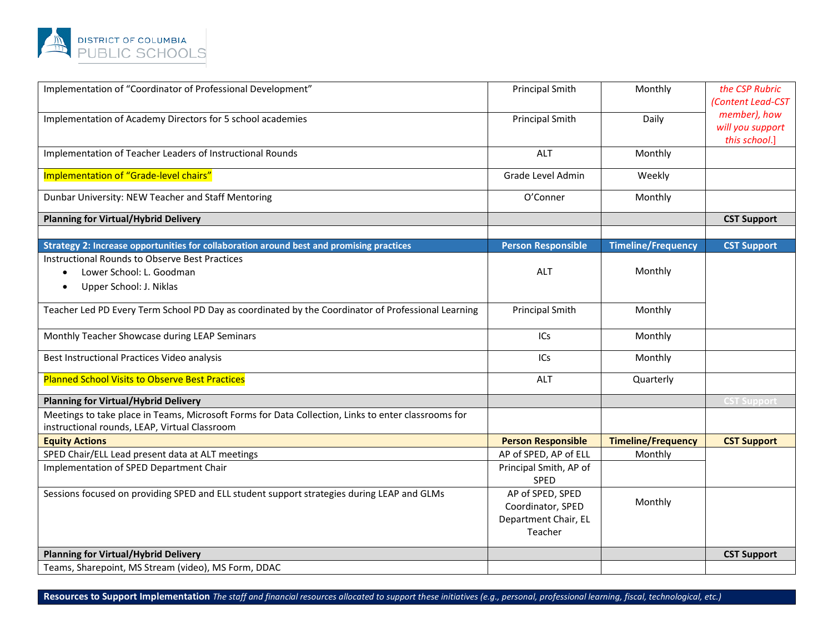

| Implementation of "Coordinator of Professional Development"                                                                                          | <b>Principal Smith</b>                                                   | Monthly                   | the CSP Rubric<br>(Content Lead-CST               |
|------------------------------------------------------------------------------------------------------------------------------------------------------|--------------------------------------------------------------------------|---------------------------|---------------------------------------------------|
| Implementation of Academy Directors for 5 school academies                                                                                           | <b>Principal Smith</b>                                                   | Daily                     | member), how<br>will you support<br>this school.] |
| Implementation of Teacher Leaders of Instructional Rounds                                                                                            | <b>ALT</b>                                                               | Monthly                   |                                                   |
| Implementation of "Grade-level chairs"                                                                                                               | Grade Level Admin                                                        | Weekly                    |                                                   |
| Dunbar University: NEW Teacher and Staff Mentoring                                                                                                   | O'Conner                                                                 | Monthly                   |                                                   |
| <b>Planning for Virtual/Hybrid Delivery</b>                                                                                                          |                                                                          |                           | <b>CST Support</b>                                |
| Strategy 2: Increase opportunities for collaboration around best and promising practices                                                             | <b>Person Responsible</b>                                                | <b>Timeline/Frequency</b> | <b>CST Support</b>                                |
| Instructional Rounds to Observe Best Practices<br>Lower School: L. Goodman<br>$\bullet$<br>Upper School: J. Niklas                                   | <b>ALT</b>                                                               | Monthly                   |                                                   |
| Teacher Led PD Every Term School PD Day as coordinated by the Coordinator of Professional Learning                                                   | <b>Principal Smith</b>                                                   | Monthly                   |                                                   |
| Monthly Teacher Showcase during LEAP Seminars                                                                                                        | ICs                                                                      | Monthly                   |                                                   |
| Best Instructional Practices Video analysis                                                                                                          | ICs                                                                      | Monthly                   |                                                   |
| <b>Planned School Visits to Observe Best Practices</b>                                                                                               | ALT                                                                      | Quarterly                 |                                                   |
| <b>Planning for Virtual/Hybrid Delivery</b>                                                                                                          |                                                                          |                           | <b>CST Support</b>                                |
| Meetings to take place in Teams, Microsoft Forms for Data Collection, Links to enter classrooms for<br>instructional rounds, LEAP, Virtual Classroom |                                                                          |                           |                                                   |
| <b>Equity Actions</b>                                                                                                                                | <b>Person Responsible</b>                                                | <b>Timeline/Frequency</b> | <b>CST Support</b>                                |
| SPED Chair/ELL Lead present data at ALT meetings                                                                                                     | AP of SPED, AP of ELL                                                    | Monthly                   |                                                   |
| Implementation of SPED Department Chair                                                                                                              | Principal Smith, AP of<br>SPED                                           |                           |                                                   |
| Sessions focused on providing SPED and ELL student support strategies during LEAP and GLMs                                                           | AP of SPED, SPED<br>Coordinator, SPED<br>Department Chair, EL<br>Teacher | Monthly                   |                                                   |
| <b>Planning for Virtual/Hybrid Delivery</b>                                                                                                          |                                                                          |                           | <b>CST Support</b>                                |
| Teams, Sharepoint, MS Stream (video), MS Form, DDAC                                                                                                  |                                                                          |                           |                                                   |

Resources to Support Implementation *The staff and financial resources allocated to support these initiatives (e.g., personal, professional learning, fiscal, technological, etc.)*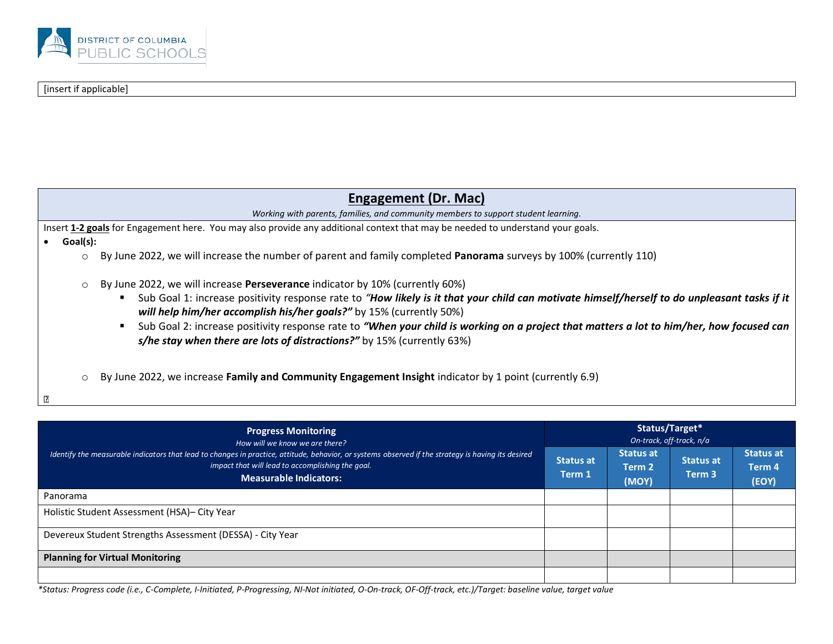

#### [insert if applicable]

| Engagement (Dr. Mac)                                                                                                                                                                                                                                                                                                                                                                                                                                                                                                                 |
|--------------------------------------------------------------------------------------------------------------------------------------------------------------------------------------------------------------------------------------------------------------------------------------------------------------------------------------------------------------------------------------------------------------------------------------------------------------------------------------------------------------------------------------|
| Working with parents, families, and community members to support student learning.                                                                                                                                                                                                                                                                                                                                                                                                                                                   |
| Insert 1-2 goals for Engagement here. You may also provide any additional context that may be needed to understand your goals.                                                                                                                                                                                                                                                                                                                                                                                                       |
| Goal(s):                                                                                                                                                                                                                                                                                                                                                                                                                                                                                                                             |
| By June 2022, we will increase the number of parent and family completed Panorama surveys by 100% (currently 110)<br>$\circ$                                                                                                                                                                                                                                                                                                                                                                                                         |
| By June 2022, we will increase Perseverance indicator by 10% (currently 60%)<br>$\circ$<br>Sub Goal 1: increase positivity response rate to "How likely is it that your child can motivate himself/herself to do unpleasant tasks if it<br>will help him/her accomplish his/her goals?" by 15% (currently 50%)<br>Sub Goal 2: increase positivity response rate to "When your child is working on a project that matters a lot to him/her, how focused can<br>s/he stay when there are lots of distractions?" by 15% (currently 63%) |
| By June 2022, we increase Family and Community Engagement Insight indicator by 1 point (currently 6.9)<br>$\circ$<br>₽                                                                                                                                                                                                                                                                                                                                                                                                               |

| <b>Progress Monitoring</b><br>How will we know we are there?                                                                                                                                                                            |                            |                                     | Status/Target*<br>On-track, off-track, n/a |                                     |  |  |
|-----------------------------------------------------------------------------------------------------------------------------------------------------------------------------------------------------------------------------------------|----------------------------|-------------------------------------|--------------------------------------------|-------------------------------------|--|--|
| Identify the measurable indicators that lead to changes in practice, attitude, behavior, or systems observed if the strategy is having its desired<br>impact that will lead to accomplishing the goal.<br><b>Measurable Indicators:</b> | <b>Status at</b><br>Term 1 | <b>Status at</b><br>Term 2<br>(MOY) | <b>Status at</b><br>Term <sub>3</sub>      | <b>Status at</b><br>Term 4<br>(EOY) |  |  |
| Panorama                                                                                                                                                                                                                                |                            |                                     |                                            |                                     |  |  |
| Holistic Student Assessment (HSA)- City Year                                                                                                                                                                                            |                            |                                     |                                            |                                     |  |  |
| Devereux Student Strengths Assessment (DESSA) - City Year                                                                                                                                                                               |                            |                                     |                                            |                                     |  |  |
| <b>Planning for Virtual Monitoring</b>                                                                                                                                                                                                  |                            |                                     |                                            |                                     |  |  |
|                                                                                                                                                                                                                                         |                            |                                     |                                            |                                     |  |  |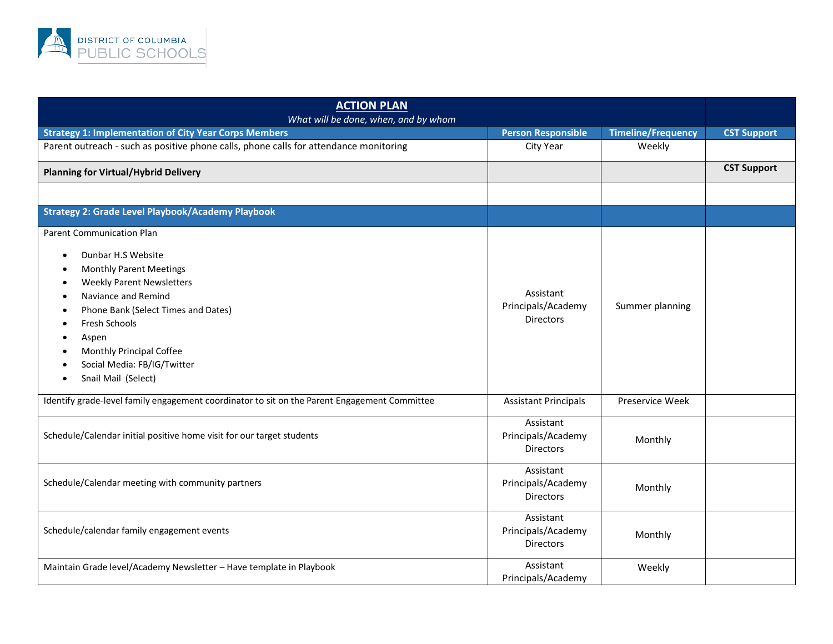

| <b>ACTION PLAN</b><br>What will be done, when, and by whom                                                                                                                                                                                                                                                                                 |                                                     |                           |                    |
|--------------------------------------------------------------------------------------------------------------------------------------------------------------------------------------------------------------------------------------------------------------------------------------------------------------------------------------------|-----------------------------------------------------|---------------------------|--------------------|
| <b>Strategy 1: Implementation of City Year Corps Members</b>                                                                                                                                                                                                                                                                               | <b>Person Responsible</b>                           | <b>Timeline/Frequency</b> | <b>CST Support</b> |
| Parent outreach - such as positive phone calls, phone calls for attendance monitoring                                                                                                                                                                                                                                                      | City Year                                           | Weekly                    |                    |
| <b>Planning for Virtual/Hybrid Delivery</b>                                                                                                                                                                                                                                                                                                |                                                     |                           | <b>CST Support</b> |
|                                                                                                                                                                                                                                                                                                                                            |                                                     |                           |                    |
| <b>Strategy 2: Grade Level Playbook/Academy Playbook</b>                                                                                                                                                                                                                                                                                   |                                                     |                           |                    |
| <b>Parent Communication Plan</b><br>Dunbar H.S Website<br>$\bullet$<br><b>Monthly Parent Meetings</b><br>٠<br><b>Weekly Parent Newsletters</b><br>$\bullet$<br>Naviance and Remind<br>Phone Bank (Select Times and Dates)<br>Fresh Schools<br>٠<br>Aspen<br>Monthly Principal Coffee<br>Social Media: FB/IG/Twitter<br>Snail Mail (Select) | Assistant<br>Principals/Academy<br><b>Directors</b> | Summer planning           |                    |
| Identify grade-level family engagement coordinator to sit on the Parent Engagement Committee                                                                                                                                                                                                                                               | <b>Assistant Principals</b>                         | Preservice Week           |                    |
| Schedule/Calendar initial positive home visit for our target students                                                                                                                                                                                                                                                                      | Assistant<br>Principals/Academy<br><b>Directors</b> | Monthly                   |                    |
| Schedule/Calendar meeting with community partners                                                                                                                                                                                                                                                                                          | Assistant<br>Principals/Academy<br><b>Directors</b> | Monthly                   |                    |
| Schedule/calendar family engagement events                                                                                                                                                                                                                                                                                                 | Assistant<br>Principals/Academy<br><b>Directors</b> | Monthly                   |                    |
| Maintain Grade level/Academy Newsletter - Have template in Playbook                                                                                                                                                                                                                                                                        | Assistant<br>Principals/Academy                     | Weekly                    |                    |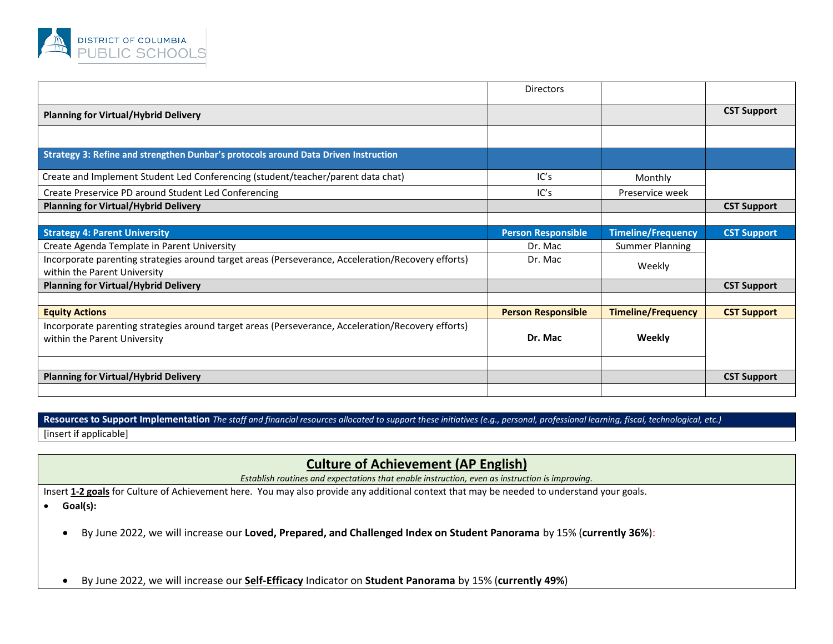

|                                                                                                                                    | <b>Directors</b>          |                           |                    |
|------------------------------------------------------------------------------------------------------------------------------------|---------------------------|---------------------------|--------------------|
| <b>Planning for Virtual/Hybrid Delivery</b>                                                                                        |                           |                           | <b>CST Support</b> |
|                                                                                                                                    |                           |                           |                    |
| Strategy 3: Refine and strengthen Dunbar's protocols around Data Driven Instruction                                                |                           |                           |                    |
| Create and Implement Student Led Conferencing (student/teacher/parent data chat)                                                   | IC's                      | Monthly                   |                    |
| Create Preservice PD around Student Led Conferencing                                                                               | IC's                      | Preservice week           |                    |
| <b>Planning for Virtual/Hybrid Delivery</b>                                                                                        |                           |                           | <b>CST Support</b> |
|                                                                                                                                    |                           |                           |                    |
| <b>Strategy 4: Parent University</b>                                                                                               | <b>Person Responsible</b> | <b>Timeline/Frequency</b> | <b>CST Support</b> |
| Create Agenda Template in Parent University                                                                                        | Dr. Mac                   | Summer Planning           |                    |
| Incorporate parenting strategies around target areas (Perseverance, Acceleration/Recovery efforts)<br>within the Parent University | Dr. Mac                   | Weekly                    |                    |
| <b>Planning for Virtual/Hybrid Delivery</b>                                                                                        |                           |                           | <b>CST Support</b> |
|                                                                                                                                    |                           |                           |                    |
| <b>Equity Actions</b>                                                                                                              | <b>Person Responsible</b> | <b>Timeline/Frequency</b> | <b>CST Support</b> |
| Incorporate parenting strategies around target areas (Perseverance, Acceleration/Recovery efforts)<br>within the Parent University | Dr. Mac                   | Weekly                    |                    |
|                                                                                                                                    |                           |                           |                    |
| <b>Planning for Virtual/Hybrid Delivery</b>                                                                                        |                           |                           | <b>CST Support</b> |
|                                                                                                                                    |                           |                           |                    |

Resources to Support Implementation *The staff and financial resources allocated to support these initiatives (e.g., personal, professional learning, fiscal, technological, etc.)* [insert if applicable]

## **Culture of Achievement (AP English)**

*Establish routines and expectations that enable instruction, even as instruction is improving.* 

Insert **1-2 goals** for Culture of Achievement here. You may also provide any additional context that may be needed to understand your goals.

• **Goal(s):**

• By June 2022, we will increase our **Loved, Prepared, and Challenged Index on Student Panorama** by 15% (**currently 36%**):

• By June 2022, we will increase our **Self-Efficacy** Indicator on **Student Panorama** by 15% (**currently 49%**)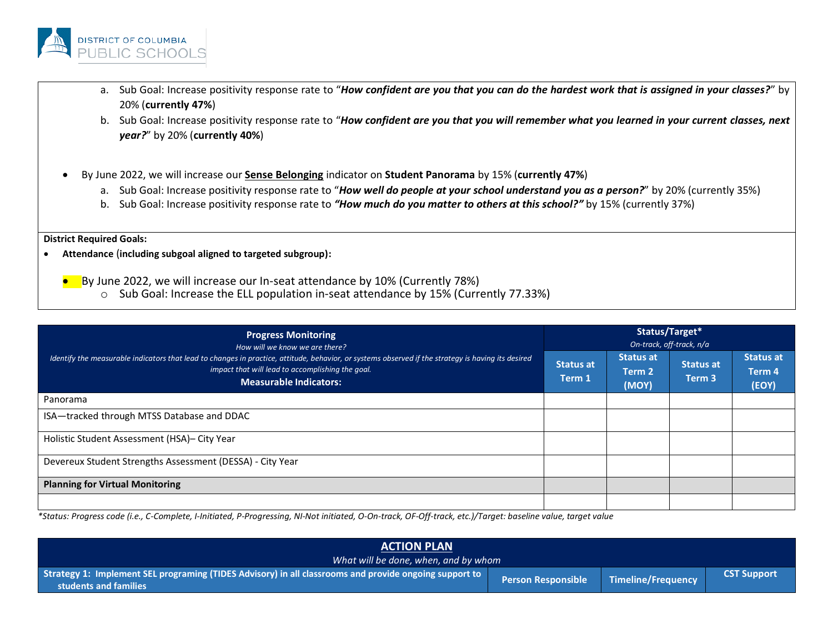

- a. Sub Goal: Increase positivity response rate to "*How confident are you that you can do the hardest work that is assigned in your classes?*" by 20% (**currently 47%**)
- b. Sub Goal: Increase positivity response rate to "*How confident are you that you will remember what you learned in your current classes, next year?*" by 20% (**currently 40%**)
- By June 2022, we will increase our **Sense Belonging** indicator on **Student Panorama** by 15% (**currently 47%**)
	- a. Sub Goal: Increase positivity response rate to "*How well do people at your school understand you as a person?*" by 20% (currently 35%)
	- b. Sub Goal: Increase positivity response rate to *"How much do you matter to others at this school?"* by 15% (currently 37%)

#### **District Required Goals:**

- **Attendance** (**including subgoal aligned to targeted subgroup):**
	- By June 2022, we will increase our In-seat attendance by 10% (Currently 78%)
		- o Sub Goal: Increase the ELL population in-seat attendance by 15% (Currently 77.33%)

| <b>Progress Monitoring</b><br>How will we know we are there?<br>Identify the measurable indicators that lead to changes in practice, attitude, behavior, or systems observed if the strategy is having its desired<br>impact that will lead to accomplishing the goal.<br><b>Measurable Indicators:</b> | Status/Target*<br>On-track, off-track, n/a |                                     |                                       |                                     |
|---------------------------------------------------------------------------------------------------------------------------------------------------------------------------------------------------------------------------------------------------------------------------------------------------------|--------------------------------------------|-------------------------------------|---------------------------------------|-------------------------------------|
|                                                                                                                                                                                                                                                                                                         | <b>Status at</b><br>Term 1                 | <b>Status at</b><br>Term 2<br>(MOY) | <b>Status at</b><br>Term <sub>3</sub> | <b>Status at</b><br>Term 4<br>(EOY) |
| Panorama                                                                                                                                                                                                                                                                                                |                                            |                                     |                                       |                                     |
| ISA-tracked through MTSS Database and DDAC                                                                                                                                                                                                                                                              |                                            |                                     |                                       |                                     |
| Holistic Student Assessment (HSA)- City Year                                                                                                                                                                                                                                                            |                                            |                                     |                                       |                                     |
| Devereux Student Strengths Assessment (DESSA) - City Year                                                                                                                                                                                                                                               |                                            |                                     |                                       |                                     |
| <b>Planning for Virtual Monitoring</b>                                                                                                                                                                                                                                                                  |                                            |                                     |                                       |                                     |
|                                                                                                                                                                                                                                                                                                         |                                            |                                     |                                       |                                     |

| <b>ACTION PLAN</b>                                                                                                                      |                           |                    |                    |  |
|-----------------------------------------------------------------------------------------------------------------------------------------|---------------------------|--------------------|--------------------|--|
| What will be done, when, and by whom                                                                                                    |                           |                    |                    |  |
| Strategy 1: Implement SEL programing (TIDES Advisory) in all classrooms and provide ongoing support to provide<br>students and families | <b>Person Responsible</b> | Timeline/Frequency | <b>CST Support</b> |  |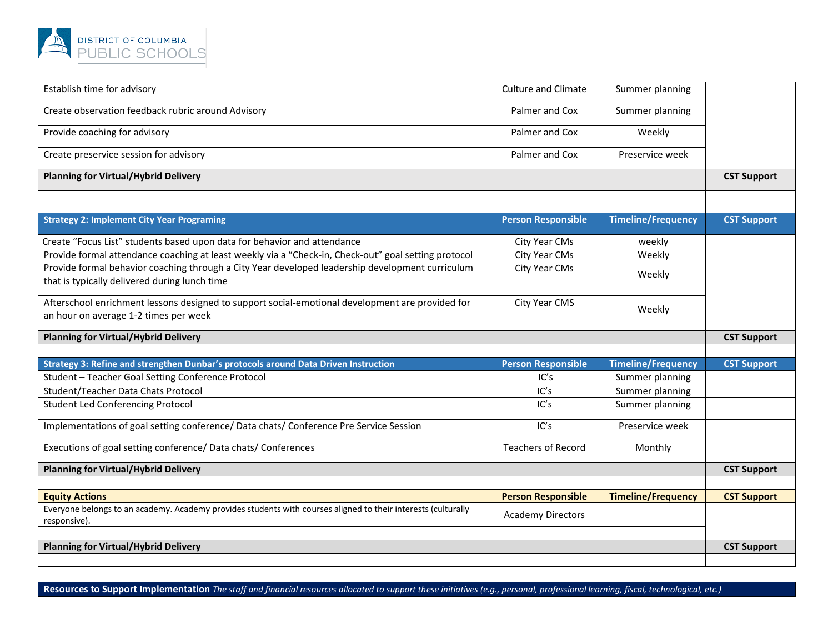

| Establish time for advisory                                                                                                                       | <b>Culture and Climate</b> | Summer planning           |                    |
|---------------------------------------------------------------------------------------------------------------------------------------------------|----------------------------|---------------------------|--------------------|
| Create observation feedback rubric around Advisory                                                                                                | Palmer and Cox             | Summer planning           |                    |
| Provide coaching for advisory                                                                                                                     | Palmer and Cox             | Weekly                    |                    |
| Create preservice session for advisory                                                                                                            | Palmer and Cox             | Preservice week           |                    |
| <b>Planning for Virtual/Hybrid Delivery</b>                                                                                                       |                            |                           | <b>CST Support</b> |
|                                                                                                                                                   |                            |                           |                    |
| <b>Strategy 2: Implement City Year Programing</b>                                                                                                 | <b>Person Responsible</b>  | <b>Timeline/Frequency</b> | <b>CST Support</b> |
| Create "Focus List" students based upon data for behavior and attendance                                                                          | City Year CMs              | weekly                    |                    |
| Provide formal attendance coaching at least weekly via a "Check-in, Check-out" goal setting protocol                                              | City Year CMs              | Weekly                    |                    |
| Provide formal behavior coaching through a City Year developed leadership development curriculum<br>that is typically delivered during lunch time | City Year CMs              | Weekly                    |                    |
| Afterschool enrichment lessons designed to support social-emotional development are provided for<br>an hour on average 1-2 times per week         | City Year CMS              | Weekly                    |                    |
| <b>Planning for Virtual/Hybrid Delivery</b>                                                                                                       |                            |                           | <b>CST Support</b> |
|                                                                                                                                                   |                            |                           |                    |
| Strategy 3: Refine and strengthen Dunbar's protocols around Data Driven Instruction                                                               | <b>Person Responsible</b>  | <b>Timeline/Frequency</b> | <b>CST Support</b> |
| Student - Teacher Goal Setting Conference Protocol                                                                                                | IC's                       | Summer planning           |                    |
| Student/Teacher Data Chats Protocol                                                                                                               | IC's                       | Summer planning           |                    |
|                                                                                                                                                   |                            |                           |                    |
| <b>Student Led Conferencing Protocol</b>                                                                                                          | IC's                       | Summer planning           |                    |
| Implementations of goal setting conference/ Data chats/ Conference Pre Service Session                                                            | IC's                       | Preservice week           |                    |
| Executions of goal setting conference/ Data chats/ Conferences                                                                                    | <b>Teachers of Record</b>  | Monthly                   |                    |
| <b>Planning for Virtual/Hybrid Delivery</b>                                                                                                       |                            |                           | <b>CST Support</b> |
|                                                                                                                                                   |                            |                           |                    |
| <b>Equity Actions</b>                                                                                                                             | <b>Person Responsible</b>  | <b>Timeline/Frequency</b> | <b>CST Support</b> |
| Everyone belongs to an academy. Academy provides students with courses aligned to their interests (culturally<br>responsive).                     | <b>Academy Directors</b>   |                           |                    |
|                                                                                                                                                   |                            |                           |                    |
| <b>Planning for Virtual/Hybrid Delivery</b>                                                                                                       |                            |                           | <b>CST Support</b> |

Resources to Support Implementation *The staff and financial resources allocated to support these initiatives (e.g., personal, professional learning, fiscal, technological, etc.)*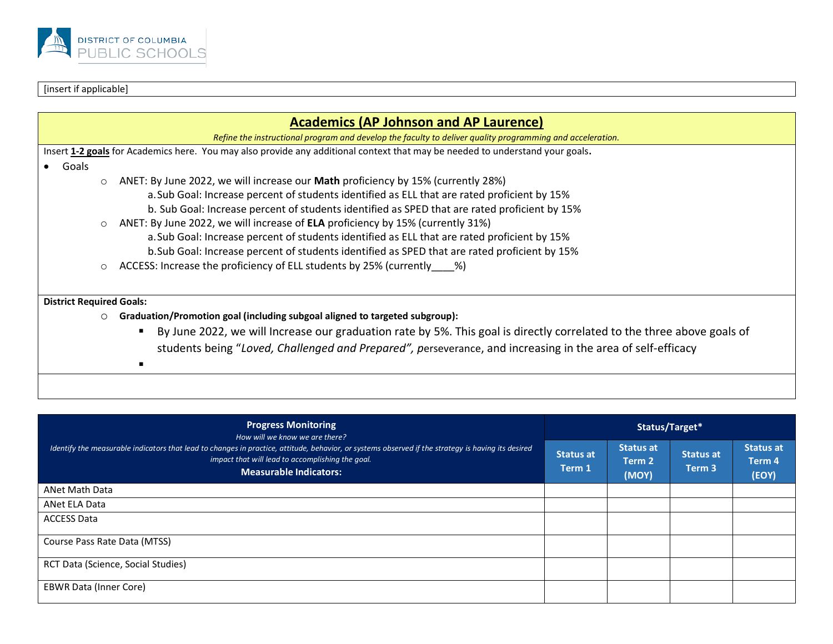

#### [insert if applicable]

| <b>Academics (AP Johnson and AP Laurence)</b>                                                                                 |
|-------------------------------------------------------------------------------------------------------------------------------|
| Refine the instructional program and develop the faculty to deliver quality programming and acceleration.                     |
| Insert 1-2 goals for Academics here. You may also provide any additional context that may be needed to understand your goals. |
| Goals                                                                                                                         |
| ANET: By June 2022, we will increase our Math proficiency by 15% (currently 28%)<br>$\circ$                                   |
| a. Sub Goal: Increase percent of students identified as ELL that are rated proficient by 15%                                  |
| b. Sub Goal: Increase percent of students identified as SPED that are rated proficient by 15%                                 |
| ANET: By June 2022, we will increase of <b>ELA</b> proficiency by 15% (currently 31%)<br>$\circ$                              |
| a. Sub Goal: Increase percent of students identified as ELL that are rated proficient by 15%                                  |
| b. Sub Goal: Increase percent of students identified as SPED that are rated proficient by 15%                                 |
| ACCESS: Increase the proficiency of ELL students by 25% (currently %)<br>$\circ$                                              |
|                                                                                                                               |
| <b>District Required Goals:</b>                                                                                               |
| Graduation/Promotion goal (including subgoal aligned to targeted subgroup):<br>$\circ$                                        |
| By June 2022, we will Increase our graduation rate by 5%. This goal is directly correlated to the three above goals of        |
| students being "Loved, Challenged and Prepared", perseverance, and increasing in the area of self-efficacy                    |
|                                                                                                                               |
|                                                                                                                               |

| <b>Progress Monitoring</b><br>How will we know we are there?<br>Identify the measurable indicators that lead to changes in practice, attitude, behavior, or systems observed if the strategy is having its desired<br>impact that will lead to accomplishing the goal.<br><b>Measurable Indicators:</b> | Status/Target*             |                                     |                                       |                                     |
|---------------------------------------------------------------------------------------------------------------------------------------------------------------------------------------------------------------------------------------------------------------------------------------------------------|----------------------------|-------------------------------------|---------------------------------------|-------------------------------------|
|                                                                                                                                                                                                                                                                                                         | <b>Status at</b><br>Term 1 | <b>Status at</b><br>Term 2<br>(MOY) | <b>Status at</b><br>Term <sub>3</sub> | <b>Status at</b><br>Term 4<br>(EOY) |
| ANet Math Data                                                                                                                                                                                                                                                                                          |                            |                                     |                                       |                                     |
| ANet ELA Data                                                                                                                                                                                                                                                                                           |                            |                                     |                                       |                                     |
| <b>ACCESS Data</b>                                                                                                                                                                                                                                                                                      |                            |                                     |                                       |                                     |
| Course Pass Rate Data (MTSS)                                                                                                                                                                                                                                                                            |                            |                                     |                                       |                                     |
| RCT Data (Science, Social Studies)                                                                                                                                                                                                                                                                      |                            |                                     |                                       |                                     |
| <b>EBWR Data (Inner Core)</b>                                                                                                                                                                                                                                                                           |                            |                                     |                                       |                                     |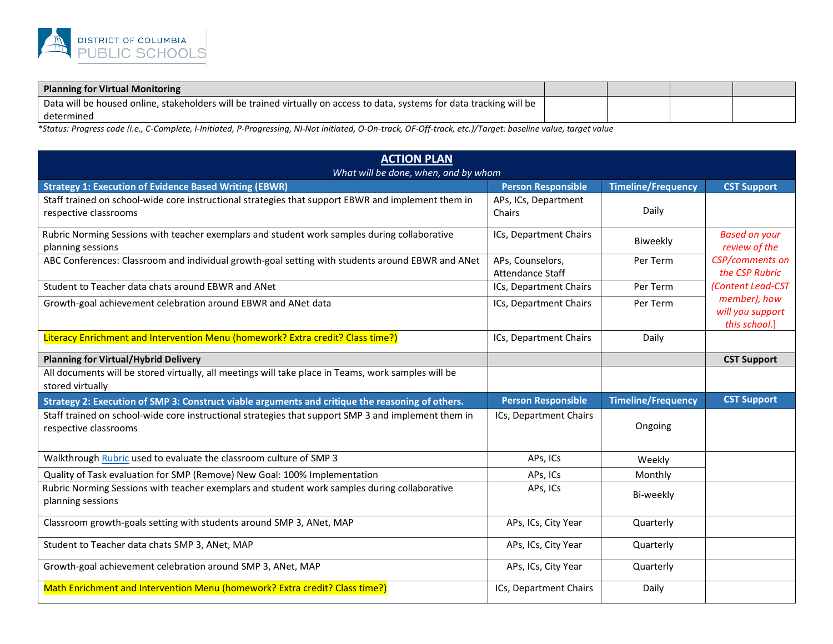

| Planning for Virtual Monitoring                                                                                         |  |  |
|-------------------------------------------------------------------------------------------------------------------------|--|--|
| Data will be housed online, stakeholders will be trained virtually on access to data, systems for data tracking will be |  |  |
| determinec                                                                                                              |  |  |

| <b>ACTION PLAN</b><br>What will be done, when, and by whom                                                                               |                                |                           |                                                   |  |
|------------------------------------------------------------------------------------------------------------------------------------------|--------------------------------|---------------------------|---------------------------------------------------|--|
| <b>Strategy 1: Execution of Evidence Based Writing (EBWR)</b>                                                                            | <b>Person Responsible</b>      | <b>Timeline/Frequency</b> | <b>CST Support</b>                                |  |
| Staff trained on school-wide core instructional strategies that support EBWR and implement them in<br>respective classrooms              | APs, ICs, Department<br>Chairs | Daily                     |                                                   |  |
| Rubric Norming Sessions with teacher exemplars and student work samples during collaborative<br>planning sessions                        | ICs, Department Chairs         | Biweekly                  | <b>Based on your</b><br>review of the             |  |
| ABC Conferences: Classroom and individual growth-goal setting with students around EBWR and ANet<br>APs, Counselors,<br>Attendance Staff |                                | Per Term                  | <b>CSP/comments on</b><br>the CSP Rubric          |  |
| Student to Teacher data chats around EBWR and ANet                                                                                       | ICs, Department Chairs         | Per Term                  | (Content Lead-CST                                 |  |
| Growth-goal achievement celebration around EBWR and ANet data                                                                            | ICs, Department Chairs         | Per Term                  | member), how<br>will you support<br>this school.] |  |
| Literacy Enrichment and Intervention Menu (homework? Extra credit? Class time?)                                                          | ICs, Department Chairs         | Daily                     |                                                   |  |
| <b>Planning for Virtual/Hybrid Delivery</b>                                                                                              |                                |                           | <b>CST Support</b>                                |  |
| All documents will be stored virtually, all meetings will take place in Teams, work samples will be<br>stored virtually                  |                                |                           |                                                   |  |
| Strategy 2: Execution of SMP 3: Construct viable arguments and critique the reasoning of others.                                         | <b>Person Responsible</b>      | <b>Timeline/Frequency</b> | <b>CST Support</b>                                |  |
| Staff trained on school-wide core instructional strategies that support SMP 3 and implement them in<br>respective classrooms             | ICs, Department Chairs         | Ongoing                   |                                                   |  |
| Walkthrough Rubric used to evaluate the classroom culture of SMP 3                                                                       | APs, ICs                       | Weekly                    |                                                   |  |
| Quality of Task evaluation for SMP (Remove) New Goal: 100% Implementation                                                                | APs, ICs                       | Monthly                   |                                                   |  |
| Rubric Norming Sessions with teacher exemplars and student work samples during collaborative<br>planning sessions                        | APs, ICs                       | Bi-weekly                 |                                                   |  |
| Classroom growth-goals setting with students around SMP 3, ANet, MAP                                                                     | APs, ICs, City Year            | Quarterly                 |                                                   |  |
| Student to Teacher data chats SMP 3, ANet, MAP                                                                                           | APs, ICs, City Year            | Quarterly                 |                                                   |  |
| Growth-goal achievement celebration around SMP 3, ANet, MAP                                                                              | APs, ICs, City Year            | Quarterly                 |                                                   |  |
| Math Enrichment and Intervention Menu (homework? Extra credit? Class time?)                                                              | ICs, Department Chairs         | Daily                     |                                                   |  |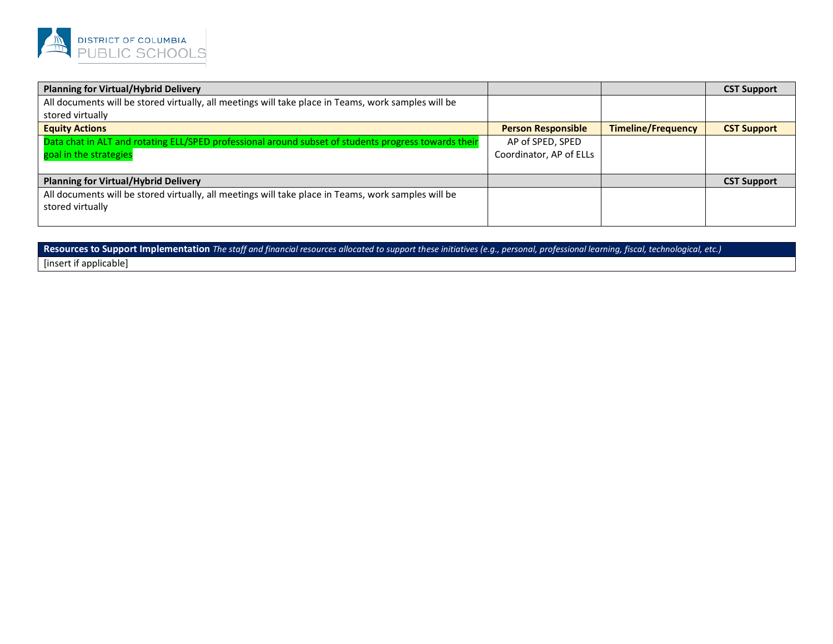

| <b>Planning for Virtual/Hybrid Delivery</b>                                                          |                           |                           | <b>CST Support</b> |
|------------------------------------------------------------------------------------------------------|---------------------------|---------------------------|--------------------|
| All documents will be stored virtually, all meetings will take place in Teams, work samples will be  |                           |                           |                    |
| stored virtually                                                                                     |                           |                           |                    |
| <b>Equity Actions</b>                                                                                | <b>Person Responsible</b> | <b>Timeline/Frequency</b> | <b>CST Support</b> |
| Data chat in ALT and rotating ELL/SPED professional around subset of students progress towards their | AP of SPED, SPED          |                           |                    |
| goal in the strategies                                                                               | Coordinator, AP of ELLs   |                           |                    |
|                                                                                                      |                           |                           |                    |
| <b>Planning for Virtual/Hybrid Delivery</b>                                                          |                           |                           | <b>CST Support</b> |
| All documents will be stored virtually, all meetings will take place in Teams, work samples will be  |                           |                           |                    |
| stored virtually                                                                                     |                           |                           |                    |
|                                                                                                      |                           |                           |                    |

Resources to Support Implementation *The staff and financial resources allocated to support these initiatives (e.g., personal, professional learning, fiscal, technological, etc.)* 

[insert if applicable]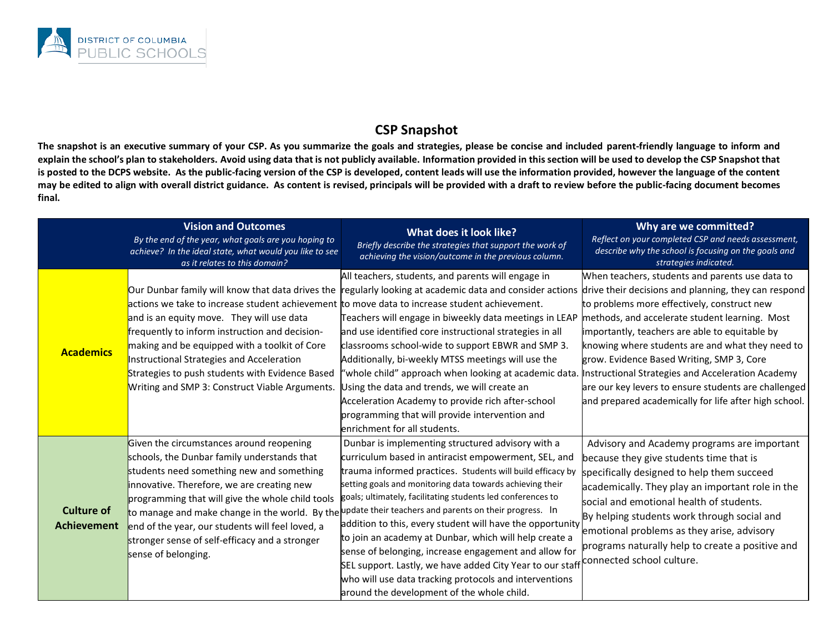

# **CSP Snapshot**

**The snapshot is an executive summary of your CSP. As you summarize the goals and strategies, please be concise and included parent-friendly language to inform and explain the school's plan to stakeholders. Avoid using data that is not publicly available. Information provided in this section will be used to develop the CSP Snapshot that is posted to the DCPS website. As the public-facing version of the CSP is developed, content leads will use the information provided, however the language of the content may be edited to align with overall district guidance. As content is revised, principals will be provided with a draft to review before the public-facing document becomes final.** 

|                                         | <b>Vision and Outcomes</b><br>By the end of the year, what goals are you hoping to<br>achieve? In the ideal state, what would you like to see<br>as it relates to this domain?                                                                                                                                                                                                                        | What does it look like?<br>Briefly describe the strategies that support the work of<br>achieving the vision/outcome in the previous column.                                                                                                                                                                                                                                                                                                                                                                                                                                                                                                                                                                                                                                                  | Why are we committed?<br>Reflect on your completed CSP and needs assessment,<br>describe why the school is focusing on the goals and<br>strategies indicated.                                                                                                                                                                                                                                                                                                                                                                     |
|-----------------------------------------|-------------------------------------------------------------------------------------------------------------------------------------------------------------------------------------------------------------------------------------------------------------------------------------------------------------------------------------------------------------------------------------------------------|----------------------------------------------------------------------------------------------------------------------------------------------------------------------------------------------------------------------------------------------------------------------------------------------------------------------------------------------------------------------------------------------------------------------------------------------------------------------------------------------------------------------------------------------------------------------------------------------------------------------------------------------------------------------------------------------------------------------------------------------------------------------------------------------|-----------------------------------------------------------------------------------------------------------------------------------------------------------------------------------------------------------------------------------------------------------------------------------------------------------------------------------------------------------------------------------------------------------------------------------------------------------------------------------------------------------------------------------|
| <b>Academics</b>                        | Our Dunbar family will know that data drives the<br>actions we take to increase student achievement<br>and is an equity move. They will use data<br>frequently to inform instruction and decision-<br>making and be equipped with a toolkit of Core<br>Instructional Strategies and Acceleration<br>Strategies to push students with Evidence Based<br>Writing and SMP 3: Construct Viable Arguments. | All teachers, students, and parents will engage in<br>regularly looking at academic data and consider actions<br>to move data to increase student achievement.<br>Teachers will engage in biweekly data meetings in LEAP<br>and use identified core instructional strategies in all<br>classrooms school-wide to support EBWR and SMP 3.<br>Additionally, bi-weekly MTSS meetings will use the<br>"whole child" approach when looking at academic data.<br>Using the data and trends, we will create an<br>Acceleration Academy to provide rich after-school<br>programming that will provide intervention and<br>enrichment for all students.                                                                                                                                               | When teachers, students and parents use data to<br>drive their decisions and planning, they can respond<br>to problems more effectively, construct new<br>methods, and accelerate student learning. Most<br>importantly, teachers are able to equitable by<br>knowing where students are and what they need to<br>grow. Evidence Based Writing, SMP 3, Core<br>Instructional Strategies and Acceleration Academy<br>are our key levers to ensure students are challenged<br>and prepared academically for life after high school. |
| <b>Culture of</b><br><b>Achievement</b> | Given the circumstances around reopening<br>schools, the Dunbar family understands that<br>students need something new and something<br>innovative. Therefore, we are creating new<br>programming that will give the whole child tools<br>end of the year, our students will feel loved, a<br>stronger sense of self-efficacy and a stronger<br>sense of belonging.                                   | Dunbar is implementing structured advisory with a<br>curriculum based in antiracist empowerment, SEL, and<br>trauma informed practices. Students will build efficacy by<br>setting goals and monitoring data towards achieving their<br>goals; ultimately, facilitating students led conferences to<br>to manage and make change in the world. By the update their teachers and parents on their progress. In<br>addition to this, every student will have the opportunity<br>to join an academy at Dunbar, which will help create a<br>sense of belonging, increase engagement and allow for<br>SEL support. Lastly, we have added City Year to our staff connected school culture.<br>who will use data tracking protocols and interventions<br>around the development of the whole child. | Advisory and Academy programs are important<br>because they give students time that is<br>specifically designed to help them succeed<br>academically. They play an important role in the<br>social and emotional health of students.<br>By helping students work through social and<br>emotional problems as they arise, advisory<br>programs naturally help to create a positive and                                                                                                                                             |